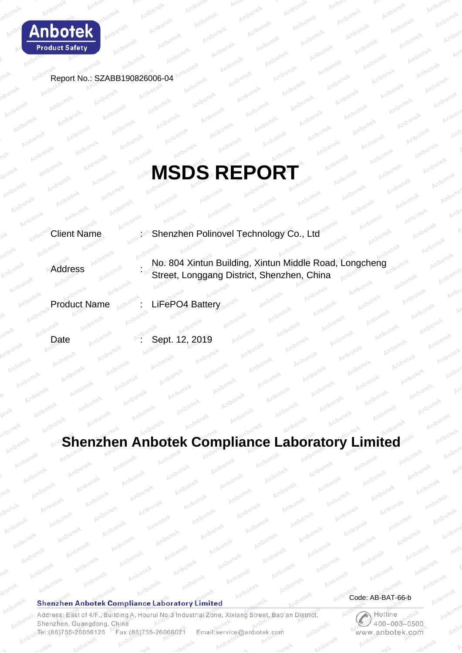

Report No.: SZABB190826006-04

# **MSDS REPORT**

Client Name : Shenzhen Polinovel Technology Co., Ltd

Address : No. 804 Xintun Building, Xintun Middle Road, Longcheng Street, Longgang District, Shenzhen, China

Product Name : LiFePO4 Battery

Date <sub>80000</sub> . Sept. 12, 2019

# **Shenzhen Anbotek Compliance Laboratory Limited**

#### **Shenzhen Anbotek Compliance Laboratory Limited**

Address: East of 4/F., Building A, Hourui No.3 Industrial Zone, Xixiang Street, Bao'an District, Shenzhen, Guangdong, China Tel:(86)755-26066126 Fax:(86)755-26066021 Email:service@anbotek.com

Code: AB-BAT-66-b

por

 $\bigotimes$  Hotline  $400 - 003 - 0500$ www.anbotek.com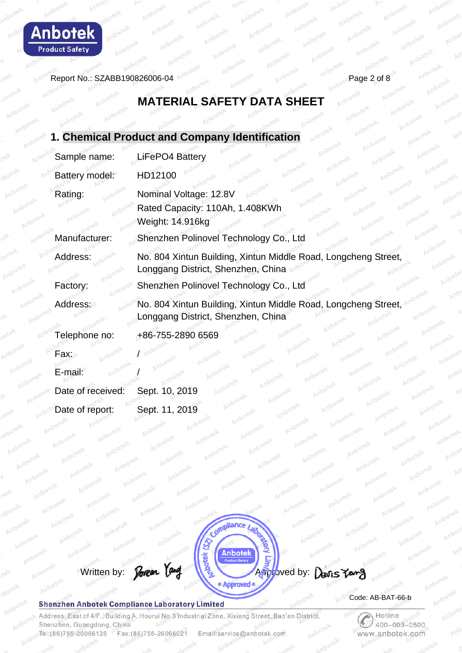

Report No.: SZABB190826006-04

# **MATERIAL SAFETY DATA SHEET**

|                    | 1. Chemical Product and Company Identification<br>Anbotek                                                                            |
|--------------------|--------------------------------------------------------------------------------------------------------------------------------------|
| Sample name:       | Anbotek<br>LiFePO4 Battery<br>Anbotek                                                                                                |
| Battery model:     | Anbotek<br>Anbotek<br>HD12100                                                                                                        |
| Rating:            | Anbotek<br>Nominal Voltage: 12.8V<br>Anbotek<br>Anbotek<br>Rated Capacity: 110Ah, 1.408KWh<br>Anbotek<br>Weight: 14.916kg<br>Anbotek |
| Manufacturer:      | Shenzhen Polinovel Technology Co., Ltd                                                                                               |
| Address:           | No. 804 Xintun Building, Xintun Middle Road, Longcheng Street,<br>Longgang District, Shenzhen, China                                 |
| Factory:           | Shenzhen Polinovel Technology Co., Ltd                                                                                               |
| Address:           | No. 804 Xintun Building, Xintun Middle Road, Longcheng Street,<br>Longgang District, Shenzhen, China                                 |
| Telephone no:      | +86-755-2890 6569<br>Anbotek                                                                                                         |
| Fax:⊮              | Anbotek                                                                                                                              |
| Anbotek<br>E-mail: | Anbotek<br>Anbotek<br>Anbotek<br>Anbotek                                                                                             |
| Date of received:  | Anbotek<br>Anbotek<br>Sept. 10, 2019<br>Anbotek<br>Anbotek                                                                           |
| Date of report:    | Anbotek<br>Anbotek<br>Anbotek<br>Sept. 11, 2019<br>Anbotek                                                                           |



#### **Shenzhen Anbotek Compliance Laboratory Limited**

Address: East of 4/F., Building A, Hourui No.3 Industrial Zone, Xixiang Street, Bao'an District, Shenzhen, Guangdong, China Tel:(86)755-26066126 Fax:(86)755-26066021 Email:service@anbotek.com

Code: AB-BAT-66-b

Hotline  $400 - 003 - 0500$ www.anbotek.com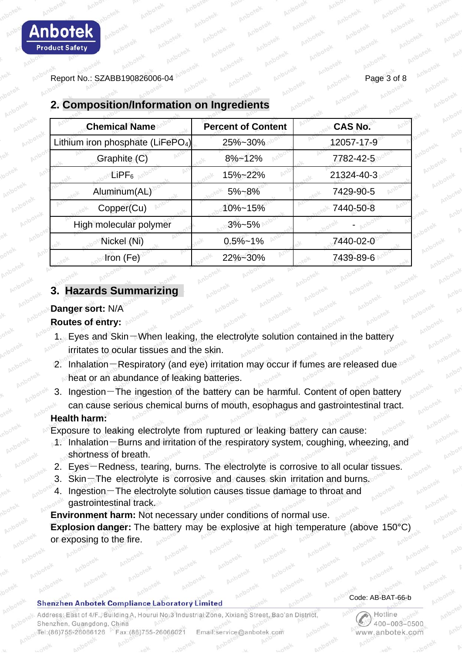Report No.: SZABB190826006-04 Page 3 of 8

| <b>Percent of Content</b>                                | <b>CAS No.</b> |
|----------------------------------------------------------|----------------|
| Lithium iron phosphate (LiFePO <sub>4</sub> )<br>25%~30% | 12057-17-9     |
| $8\% - 12\%$                                             | 7782-42-5      |
| 15%~22%                                                  | 21324-40-3     |
| $5% - 8%$                                                | 7429-90-5      |
| 10%~15%                                                  | 7440-50-8      |
| $3% - 5%$                                                |                |
| $0.5\% - 1\%$                                            | 7440-02-0      |
| 22%~30%                                                  | 7439-89-6      |
|                                                          |                |

# **2. Composition/Information on Ingredients**

## **3. Hazards Summarizing**

# **Danger sort:** N/A

#### **Routes of entry:**

- 1. Eyes and Skin-When leaking, the electrolyte solution contained in the battery irritates to ocular tissues and the skin.
- 2. Inhalation-Respiratory (and eye) irritation may occur if fumes are released due heat or an abundance of leaking batteries.
- 3. Ingestion-The ingestion of the battery can be harmful. Content of open battery can cause serious chemical burns of mouth, esophagus and gastrointestinal tract.

#### **Health harm:**

Exposure to leaking electrolyte from ruptured or leaking battery can cause:

- 1. Inhalation-Burns and irritation of the respiratory system, coughing, wheezing, and shortness of breath.
- 2. Eyes-Redness, tearing, burns. The electrolyte is corrosive to all ocular tissues.
- 3. Skin-The electrolyte is corrosive and causes skin irritation and burns.
- 4. Ingestion-The electrolyte solution causes tissue damage to throat and gastrointestinal track.

**Environment harm:** Not necessary under conditions of normal use. **Explosion danger:** The battery may be explosive at high temperature (above 150°C) or exposing to the fire.

#### **Shenzhen Anbotek Compliance Laboratory Limited**

Address: East of 4/F., Building A, Hourui No.3 Industrial Zone, Xixiang Street, Bao'an District Shenzhen, Guangdong, China Tel:(86)755-26066126 Fax: (86) 755-26066021 Email:service@anbotek.com

#### Code: AB-BAT-66-b

Hotline  $400 - 003 - 0500$ ww.anbotek.com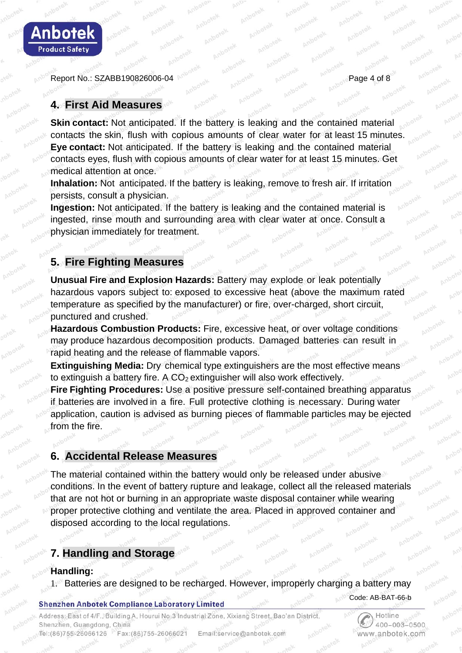

Report No.: SZABB190826006-04

# **4. First Aid Measures**

**Skin contact:** Not anticipated. If the battery is leaking and the contained material contacts the skin, flush with copious amounts of clear water for at least 15 minutes. **Eye contact:** Not anticipated. If the battery is leaking and the contained material contacts eyes, flush with copious amounts of clear water for at least 15 minutes. Get medical attention at once.

**Inhalation:** Not anticipated. If the battery is leaking, remove to fresh air. If irritation persists, consult a physician.

**Ingestion:** Not anticipated. If the battery is leaking and the contained material is ingested, rinse mouth and surrounding area with clear water at once. Consult a physician immediately for treatment.

# **5. Fire Fighting Measures**

**Unusual Fire and Explosion Hazards:** Battery may explode or leak potentially hazardous vapors subject to: exposed to excessive heat (above the maximum rated temperature as specified by the manufacturer) or fire, over-charged, short circuit, punctured and crushed.

**Hazardous Combustion Products:** Fire, excessive heat, or over voltage conditions may produce hazardous decomposition products. Damaged batteries can result in rapid heating and the release of flammable vapors.

**Extinguishing Media:** Dry chemical type extinguishers are the most effective means to extinguish a battery fire. A  $CO<sub>2</sub>$  extinguisher will also work effectively.

**Fire Fighting Procedures:** Use a positive pressure self-contained breathing apparatus if batteries are involved in a fire. Full protective clothing is necessary. During water application, caution is advised as burning pieces of flammable particles may be ejected from the fire.

# **6. Accidental Release Measures**

The material contained within the battery would only be released under abusive conditions. In the event of battery rupture and leakage, collect all the released materials that are not hot or burning in an appropriate waste disposal container while wearing proper protective clothing and ventilate the area. Placed in approved container and disposed according to the local regulations.

# **7. Handling and Storage**

### **Handling:**

1. Batteries are designed to be recharged. However, improperly charging a battery may

#### **Shenzhen Anbotek Compliance Laboratory Limited**

Address: East of 4/F., Building A, Hourui No.3 Industrial Zone, Xixiang Street, Bao'an District, Shenzhen, Guangdong, China Email:service@anbotek.com Tel:(86)755-26066126 Fax:(86)755-26066021

Hotline  $400 - 003 - 0500$ www.anbotek.com

Code: AB-BAT-66-b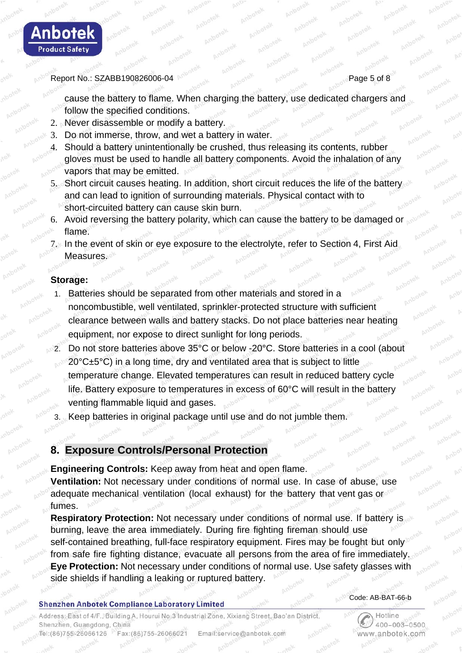

#### Report No.: SZABB190826006-04 Page 5 of 8

cause the battery to flame. When charging the battery, use dedicated chargers and follow the specified conditions.

- 2. Never disassemble or modify a battery.
- 3. Do not immerse, throw, and wet a battery in water.
- 4. Should a battery unintentionally be crushed, thus releasing its contents, rubber gloves must be used to handle all battery components. Avoid the inhalation of any vapors that may be emitted.
- 5. Short circuit causes heating. In addition, short circuit reduces the life of the battery and can lead to ignition of surrounding materials. Physical contact with to short-circuited battery can cause skin burn.
- 6. Avoid reversing the battery polarity, which can cause the battery to be damaged or flame.
- 7. In the event of skin or eye exposure to the electrolyte, refer to Section 4, First Aid Measures.

#### **Storage:**

- 1. Batteries should be separated from other materials and stored in a noncombustible, well ventilated, sprinkler-protected structure with sufficient clearance between walls and battery stacks. Do not place batteries near heating equipment, nor expose to direct sunlight for long periods.
- 2. Do not store batteries above 35°C or below -20°C. Store batteries in a cool (about 20°C±5°C) in a long time, dry and ventilated area that is subject to little temperature change. Elevated temperatures can result in reduced battery cycle life. Battery exposure to temperatures in excess of 60°C will result in the battery venting flammable liquid and gases.
	- Keep batteries in original package until use and do not jumble them.

# **8. Exposure Controls/Personal Protection**

**Engineering Controls:** Keep away from heat and open flame. **Ventilation:** Not necessary under conditions of normal use. In case of abuse, use adequate mechanical ventilation (local exhaust) for the battery that vent gas or fumes.

**Respiratory Protection:** Not necessary under conditions of normal use. If battery is

burning, leave the area immediately. During fire fighting fireman should use self-contained breathing, full-face respiratory equipment. Fires may be fought but only from safe fire fighting distance, evacuate all persons from the area of fire immediately. **Eye Protection:** Not necessary under conditions of normal use. Use safety glasses with side shields if handling a leaking or ruptured battery.

#### **Shenzhen Anbotek Compliance Laboratory Limited**

#### Code: AB-BAT-66-b

Address: East of 4/F., Building A, Hourui No.3 Industrial Zone, Xixiang Street, Bao'an District, Shenzhen, Guangdong, China Tel:(86)755-26066126 Fax:(86)755-26066021 Email:service@anbotek.com

Hotline  $400 - 003 - 0500$ vww.anbotek.com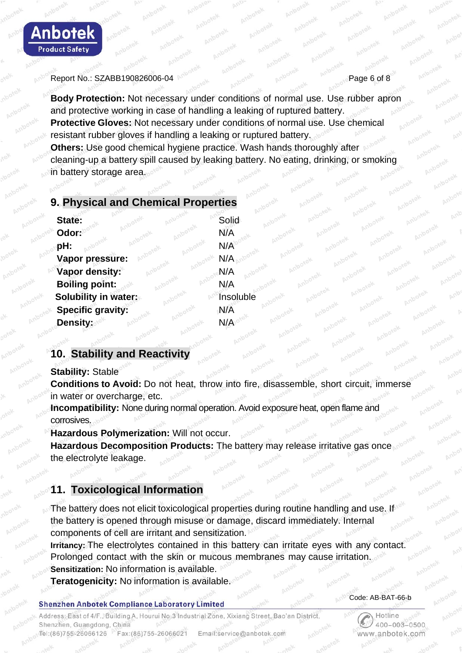

#### Report No.: SZABB190826006-04 Page 6 of 8

**Body Protection:** Not necessary under conditions of normal use. Use rubber apron and protective working in case of handling a leaking of ruptured battery. **Protective Gloves:** Not necessary under conditions of normal use. Use chemical resistant rubber gloves if handling a leaking or ruptured battery. **Others:** Use good chemical hygiene practice. Wash hands thoroughly after cleaning-up a battery spill caused by leaking battery. No eating, drinking, or smoking in battery storage area.

# **9. Physical and Chemical Properties**

| State:<br>anbotel           | Solid       |
|-----------------------------|-------------|
| Odor: <sup>\po\@</sup>      | N/A         |
| pH:                         | $N/A^{100}$ |
| Vapor pressure:             | N/A         |
| Vapor density:              | N/A         |
| <b>Boiling point:</b>       | N/A         |
| <b>Solubility in water:</b> | Insoluble   |
| <b>Specific gravity:</b>    | N/A         |
| Density:                    | N/A         |
|                             |             |

# **10. Stability and Reactivity**

**Stability:** Stable

**Conditions to Avoid:** Do not heat, throw into fire, disassemble, short circuit, immerse in water or overcharge, etc.

**Incompatibility:** None during normal operation. Avoid exposure heat, open flame and corrosives.

**Hazardous Polymerization:** Will not occur.

**Hazardous Decomposition Products:** The battery may release irritative gas once the electrolyte leakage.

# **11. Toxicological Information**

The battery does not elicit toxicological properties during routine handling and use. If the battery is opened through misuse or damage, discard immediately. Internal components of cell are irritant and sensitization.

**Irritancy:** The electrolytes contained in this battery can irritate eyes with any contact. Prolonged contact with the skin or mucous membranes may cause irritation. **Sensitization:** No information is available.

**Teratogenicity:** No information is available.

#### **Shenzhen Anbotek Compliance Laboratory Limited**

Address: East of 4/F., Building A, Hourui No.3 Industrial Zone, Xixiang Street, Bao'an District, Shenzhen, Guangdong, China Tel:(86)755-26066126 Fax:(86)755-26066021 Email:service@anbotek.com

Code: AB-BAT-66-b

Hotline  $400 - 003 - 0500$ www.anbotek.com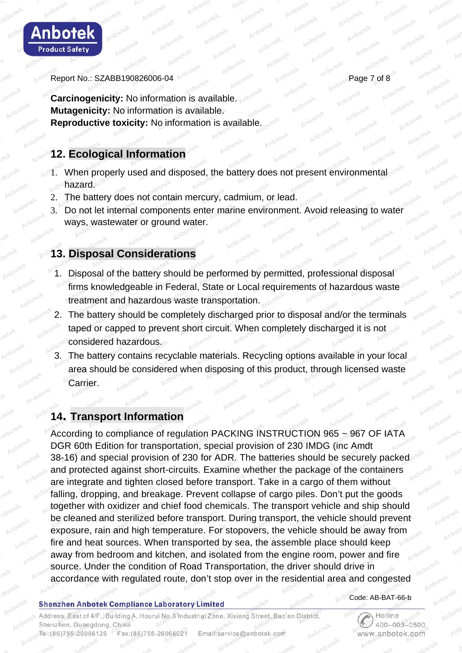

Report No.: SZABB190826006-04 Page 7 of 8

**Carcinogenicity:** No information is available. **Mutagenicity:** No information is available. **Reproductive toxicity:** No information is available.

# **12. Ecological Information**

- 1. When properly used and disposed, the battery does not present environmental hazard.
	- 2. The battery does not contain mercury, cadmium, or lead.
	- 3. Do not let internal components enter marine environment. Avoid releasing to water ways, wastewater or ground water.

# **13. Disposal Considerations**

- 1. Disposal of the battery should be performed by permitted, professional disposal firms knowledgeable in Federal, State or Local requirements of hazardous waste treatment and hazardous waste transportation.
- 2. The battery should be completely discharged prior to disposal and/or the terminals taped or capped to prevent short circuit. When completely discharged it is not considered hazardous.
- 3. The battery contains recyclable materials. Recycling options available in your local area should be considered when disposing of this product, through licensed waste Carrier.

# **14. Transport Information**

According to compliance of regulation PACKING INSTRUCTION 965 ~ 967 OF IATA DGR 60th Edition for transportation, special provision of 230 IMDG (inc Amdt 38-16) and special provision of 230 for ADR. The batteries should be securely packed and protected against short-circuits. Examine whether the package of the containers are integrate and tighten closed before transport. Take in a cargo of them without falling, dropping, and breakage. Prevent collapse of cargo piles. Don't put the goods together with oxidizer and chief food chemicals. The transport vehicle and ship should be cleaned and sterilized before transport. During transport, the vehicle should prevent exposure, rain and high temperature. For stopovers, the vehicle should be away from fire and heat sources. When transported by sea, the assemble place should keep away from bedroom and kitchen, and isolated from the engine room, power and fire source. Under the condition of Road Transportation, the driver should drive in accordance with regulated route, don't stop over in the residential area and congested

#### **Shenzhen Anbotek Compliance Laboratory Limited**

Code: AB-BAT-66-b

Address: East of 4/F., Building A, Hourui No.3 Industrial Zone, Xixiang Street, Bao'an District, Shenzhen, Guangdong, China Email:service@anbotek.com Tel:(86)755-26066126 Fax:(86)755-26066021

Hotline  $400 - 003 - 0500$ www.anbotek.com